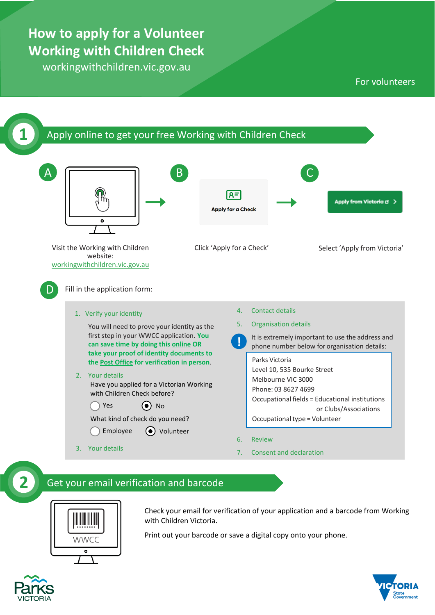## **How to apply for a Volunteer Working with Children Check**

workingwithchildren.vic.gov.au

#### For volunteers





Check your email for verification of your application and a barcode from Working with Children Victoria.

Print out your barcode or save a digital copy onto your phone.